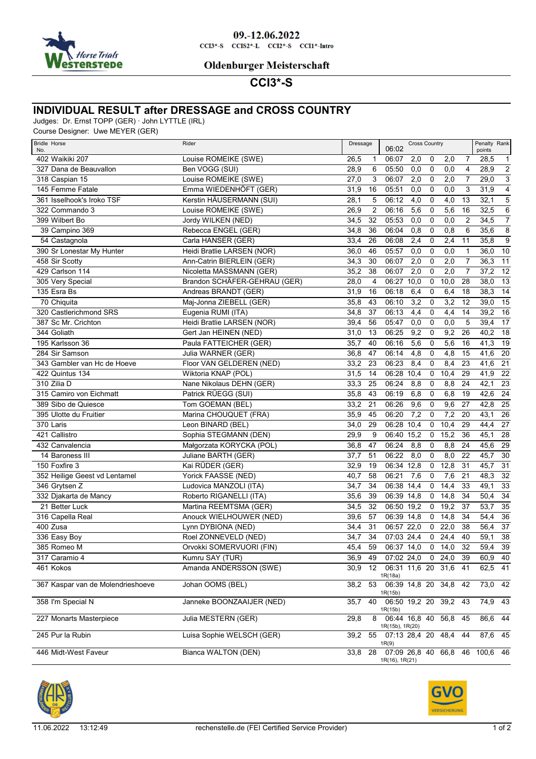

#### 09.-12.06.2022  $CCI3*-S$   $CCI52*-L$   $CCI2*-S$   $CCI1*-Intro$

#### **Oldenburger Meisterschaft**

# **CCI3\*-S**

### **INDIVIDUAL RESULT after DRESSAGE and CROSS COUNTRY**

Judges: Dr. Ernst TOPP (GER) · John LYTTLE (IRL)

Course Designer: Uwe MEYER (GER)

| <b>Bridle Horse</b><br>No.        | Rider                        | Dressage |                 | 06:02                                   | <b>Cross Country</b> |             |            |                 | Penalty Rank<br>points |                 |
|-----------------------------------|------------------------------|----------|-----------------|-----------------------------------------|----------------------|-------------|------------|-----------------|------------------------|-----------------|
| 402 Waikiki 207                   | Louise ROMEIKE (SWE)         | 26,5     | 1               | 06:07                                   | 2,0                  | 0           | 2,0        | 7               | 28,5                   | $\mathbf{1}$    |
| 327 Dana de Beauvallon            | Ben VOGG (SUI)               | 28,9     | 6               | 05:50                                   | 0,0                  | 0           | 0,0        | 4               | 28,9                   | $\overline{2}$  |
| 318 Caspian 15                    | Louise ROMEIKE (SWE)         | 27,0     | 3               | 06:07                                   | 2,0                  | 0           | 2,0        | 7               | 29,0                   | $\overline{3}$  |
| 145 Femme Fatale                  | Emma WIEDENHÖFT (GER)        | 31,9     | 16              | 05:51                                   | 0,0                  | $\mathbf 0$ | 0,0        | 3               | 31,9                   | $\overline{4}$  |
| 361 Isselhook's Iroko TSF         | Kerstin HÄUSERMANN (SUI)     | 28,1     | 5               | 06:12                                   | 4,0                  | 0           | 4,0        | 13              | 32,1                   | $\mathbf 5$     |
| 322 Commando 3                    | Louise ROMEIKE (SWE)         | 26,9     | $\overline{2}$  | 06:16                                   | 5,6                  | 0           | 5,6        | 16              | 32,5                   | $\overline{6}$  |
| 399 Wilbert Bo                    | Jordy WILKEN (NED)           | 34,5     | 32              | 05:53                                   | 0,0                  | $\mathbf 0$ | 0,0        | $\overline{2}$  | 34,5                   | $\overline{7}$  |
| 39 Campino 369                    | Rebecca ENGEL (GER)          | 34,8     | 36              | 06:04                                   | 0,8                  | 0           | 0,8        | 6               | 35,6                   | $\overline{8}$  |
| 54 Castagnola                     | Carla HANSER (GER)           | 33,4     | 26              | 06:08                                   | 2,4                  | 0           | 2,4        | 11              | 35,8                   | $\overline{9}$  |
| 390 Sr Lonestar My Hunter         | Heidi Bratlie LARSEN (NOR)   | 36,0     | 46              | 05:57                                   | 0,0                  | 0           | 0,0        | 1               | 36,0                   | $\overline{10}$ |
| 458 Sir Scotty                    | Ann-Catrin BIERLEIN (GER)    | 34,3     | 30              | 06:07                                   | 2,0                  | 0           | 2,0        | 7               | 36,3                   | 11              |
| 429 Carlson 114                   | Nicoletta MASSMANN (GER)     | 35,2     | 38              | 06:07                                   | 2,0                  | 0           | 2,0        | $\overline{7}$  | 37,2                   | $\overline{12}$ |
| 305 Very Special                  | Brandon SCHÄFER-GEHRAU (GER) | 28,0     | 4               | 06:27                                   | 10,0                 | 0           | 10,0       | 28              | 38,0                   | 13              |
| 135 Esra Bs                       | Andreas BRANDT (GER)         | 31,9     | 16              | 06:18                                   | 6,4                  | 0           | 6,4        | 18              | 38,3                   | $\overline{14}$ |
| 70 Chiquita                       | Maj-Jonna ZIEBELL (GER)      | 35,8     | 43              | 06:10                                   | 3,2                  | $\mathbf 0$ | 3,2        | 12              | 39,0                   | 15              |
| 320 Castlerichmond SRS            | Eugenia RUMI (ITA)           | 34,8     | 37              | 06:13                                   | 4,4                  | 0           | 4,4        | 14              | 39,2                   | 16              |
| 387 Sc Mr. Crichton               | Heidi Bratlie LARSEN (NOR)   | 39,4     | 56              | 05:47                                   | 0,0                  | $\mathbf 0$ | 0,0        | 5               | 39,4                   | $\overline{17}$ |
| 344 Goliath                       | Gert Jan HEINEN (NED)        | 31,0     | 13              | 06:25                                   | 9,2                  | 0           | 9,2        | 26              | 40,2                   | $\overline{18}$ |
| 195 Karlsson 36                   | Paula FATTEICHER (GER)       | 35,7     | 40              | 06:16                                   | 5,6                  | 0           | 5,6        | 16              | 41,3                   | $\overline{19}$ |
| 284 Sir Samson                    | Julia WARNER (GER)           | 36,8     | 47              | 06:14                                   | 4,8                  | 0           | 4,8        | 15              | 41,6                   | $\overline{20}$ |
| 343 Gambler van Hc de Hoeve       | Floor VAN GELDEREN (NED)     | 33,2     | 23              | 06:23                                   | 8,4                  | 0           | 8,4        | 23              | 41,6                   | $\overline{21}$ |
| 422 Quintus 134                   | Wiktoria KNAP (POL)          | 31,5     | 14              | 06:28                                   | 10,4                 | 0           | 10,4       | 29              | 41,9                   | $\overline{22}$ |
| 310 Zilia D                       | Nane Nikolaus DEHN (GER)     | 33,3     | 25              | 06:24                                   | 8,8                  | 0           | 8,8        | 24              | 42,1                   | $\overline{23}$ |
| 315 Camiro von Eichmatt           | Patrick RÜEGG (SUI)          | 35,8     | 43              | 06:19                                   | 6,8                  | 0           | 6,8        | 19              | 42,6                   | $\overline{24}$ |
| 389 Sibo de Quiesce               | Tom GOEMAN (BEL)             | 33,2     | 21              | 06:26                                   | 9,6                  | $\mathbf 0$ | 9,6        | 27              | 42,8                   | $\overline{25}$ |
| 395 Ulotte du Fruitier            | Marina CHOUQUET (FRA)        | 35,9     | 45              | 06:20                                   | 7,2                  | 0           | 7,2        | 20              | 43,1                   | $\overline{26}$ |
| 370 Laris                         | Leon BINARD (BEL)            | 34,0     | 29              | 06:28                                   | 10,4                 | 0           | 10,4       | 29              | 44,4                   | $\overline{27}$ |
| 421 Callistro                     | Sophia STEGMANN (DEN)        | 29,9     | 9               | 06:40                                   | 15,2                 | 0           | 15,2       | 36              | 45,1                   | $\overline{28}$ |
| 432 Canvalencia                   | Małgorzata KORYCKA (POL)     | 36,8     | 47              | 06:24                                   | 8,8                  | 0           | 8,8        | 24              | 45,6                   | 29              |
| 14 Baroness III                   | Juliane BARTH (GER)          | 37,7     | 51              | 06:22                                   | 8,0                  | 0           | 8,0        | 22              | 45,7                   | $\overline{30}$ |
| 150 Foxfire 3                     | Kai RÜDER (GER)              | 32,9     | 19              | 06:34 12.8                              |                      | 0           | 12,8       | 31              | 45,7                   | $\overline{31}$ |
| 352 Heilige Geest vd Lentamel     | Yorick FAASSE (NED)          | 40,7     | 58              | 06:21                                   | 7,6                  | 0           | 7,6        | 21              | 48,3                   | 32              |
| 346 Grytsen Z                     | Ludovica MANZOLI (ITA)       | 34,7     | 34              | 06:38                                   | 14,4                 | 0           | 14,4       | 33              | 49,1                   | 33              |
| 332 Djakarta de Mancy             | Roberto RIGANELLI (ITA)      | 35,6     | 39              | 06:39 14,8                              |                      | $\pmb{0}$   | 14,8       | 34              | 50,4                   | $\overline{34}$ |
| 21 Better Luck                    | Martina REEMTSMA (GER)       | 34,5     | 32              | 06:50 19,2                              |                      | 0           | 19,2       | 37              | 53,7                   | $\overline{35}$ |
| 316 Capella Real                  | Anouck WIELHOUWER (NED)      | 39,6     | 57              | 06:39 14,8                              |                      | 0           | 14,8       | 34              | 54,4                   | $\overline{36}$ |
| 400 Zusa                          | Lynn DYBIONA (NED)           | 34,4     | 31              | 06:57 22,0                              |                      | 0           | 22,0       | 38              | 56,4                   | $\overline{37}$ |
| 336 Easy Boy                      | Roel ZONNEVELD (NED)         | 34,7     | 34              | 07:03 24,4                              |                      | $\mathbf 0$ | 24,4       | 40              | 59,1                   | $\overline{38}$ |
| 385 Romeo M                       | Orvokki SOMERVUORI (FIN)     | 45,4     | $\overline{59}$ | 06:37 14,0                              |                      |             | $0 \t14,0$ | $\overline{32}$ | $59,4$ 39              |                 |
| 317 Caramio 4                     | Kumru SAY (TUR)              | 36,9     | 49              | 07:02 24,0 0 24,0                       |                      |             |            | 39              | 60,9 40                |                 |
| 461 Kokos                         | Amanda ANDERSSON (SWE)       | 30,9     | 12              | 06:31 11,6 20 31,6 41                   |                      |             |            |                 | $62,5$ 41              |                 |
|                                   |                              |          |                 | 1R(18a)                                 |                      |             |            |                 |                        |                 |
| 367 Kaspar van de Molendrieshoeve | Johan OOMS (BEL)             | 38,2     | 53              | 06:39 14,8 20 34,8<br>1R(15b)           |                      |             |            | 42              | $73,0$ 42              |                 |
| 358 I'm Special N                 | Janneke BOONZAAIJER (NED)    | 35,7     | 40              | 06:50 19,2 20 39,2<br>1R(15b)           |                      |             |            | 43              | 74,9 43                |                 |
| 227 Monarts Masterpiece           | Julia MESTERN (GER)          | 29,8     | 8               | 06:44 16,8 40 56,8<br>1R(15b), 1R(20)   |                      |             |            | 45              | 86,6 44                |                 |
| 245 Pur la Rubin                  | Luisa Sophie WELSCH (GER)    | 39,2     | 55              | 07:13 28,4 20 48,4<br>1R(9)             |                      |             |            | 44              | 87,6 45                |                 |
| 446 Midt-West Faveur              | <b>Bianca WALTON (DEN)</b>   | 33,8     |                 | 28 07:09 26,8 40 66,8<br>1R(16), 1R(21) |                      |             |            |                 | 46 100,6 46            |                 |